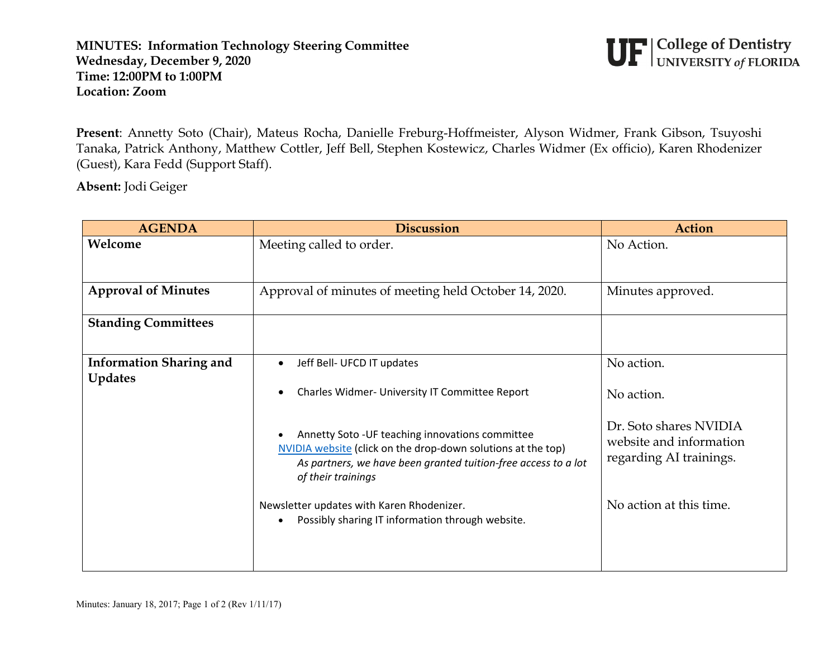## **MINUTES: Information Technology Steering Committee Wednesday, December 9, 2020 Time: 12:00PM to 1:00PM Location: Zoom**



**Present**: Annetty Soto (Chair), Mateus Rocha, Danielle Freburg-Hoffmeister, Alyson Widmer, Frank Gibson, Tsuyoshi Tanaka, Patrick Anthony, Matthew Cottler, Jeff Bell, Stephen Kostewicz, Charles Widmer (Ex officio), Karen Rhodenizer (Guest), Kara Fedd (Support Staff).

**Absent:** Jodi Geiger

| <b>AGENDA</b>                                    | <b>Discussion</b>                                                                                                                                                                                        | <b>Action</b>                                                                |
|--------------------------------------------------|----------------------------------------------------------------------------------------------------------------------------------------------------------------------------------------------------------|------------------------------------------------------------------------------|
| Welcome                                          | Meeting called to order.                                                                                                                                                                                 | No Action.                                                                   |
| <b>Approval of Minutes</b>                       | Approval of minutes of meeting held October 14, 2020.                                                                                                                                                    | Minutes approved.                                                            |
| <b>Standing Committees</b>                       |                                                                                                                                                                                                          |                                                                              |
| <b>Information Sharing and</b><br><b>Updates</b> | Jeff Bell- UFCD IT updates<br>$\bullet$                                                                                                                                                                  | No action.                                                                   |
|                                                  | Charles Widmer- University IT Committee Report<br>$\bullet$                                                                                                                                              | No action.                                                                   |
|                                                  | Annetty Soto - UF teaching innovations committee<br>NVIDIA website (click on the drop-down solutions at the top)<br>As partners, we have been granted tuition-free access to a lot<br>of their trainings | Dr. Soto shares NVIDIA<br>website and information<br>regarding AI trainings. |
|                                                  | Newsletter updates with Karen Rhodenizer.<br>Possibly sharing IT information through website.                                                                                                            | No action at this time.                                                      |